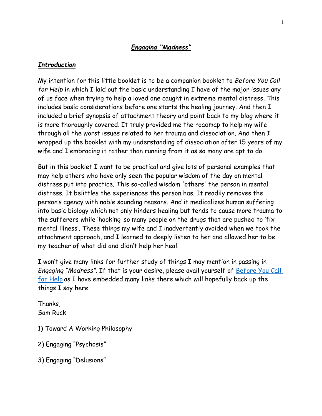# *Engaging "Madness"*

### *Introduction*

My intention for this little booklet is to be a companion booklet to *Before You Call for Help* in which I laid out the basic understanding I have of the major issues any of us face when trying to help a loved one caught in extreme mental distress. This includes basic considerations before one starts the healing journey. And then I included a brief synopsis of attachment theory and point back to my blog where it is more thoroughly covered. It truly provided me the roadmap to help my wife through all the worst issues related to her trauma and dissociation. And then I wrapped up the booklet with my understanding of dissociation after 15 years of my wife and I embracing it rather than running from it as so many are apt to do.

But in this booklet I want to be practical and give lots of personal examples that may help others who have only seen the popular wisdom of the day on mental distress put into practice. This so-called wisdom 'others' the person in mental distress. It belittles the experiences the person has. It readily removes the person's agency with noble sounding reasons. And it medicalizes human suffering into basic biology which not only hinders healing but tends to cause more trauma to the sufferers while 'hooking' so many people on the drugs that are pushed to 'fix mental illness'. These things my wife and I inadvertently avoided when we took the attachment approach, and I learned to deeply listen to her and allowed her to be my teacher of what did and didn't help her heal.

I won't give many links for further study of things I may mention in passing in *Engaging "Madness".* If that is your desire, please avail yourself of [Before You Call](https://samruck2.wordpress.com/2021/01/29/before-you-call-for-help/)  [for Help](https://samruck2.wordpress.com/2021/01/29/before-you-call-for-help/) as I have embedded many links there which will hopefully back up the things I say here.

Thanks, Sam Ruck

1) Toward A Working Philosophy

2) Engaging "Psychosis"

3) Engaging "Delusions"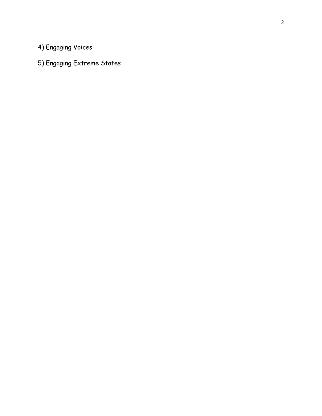4) Engaging Voices

5) Engaging Extreme States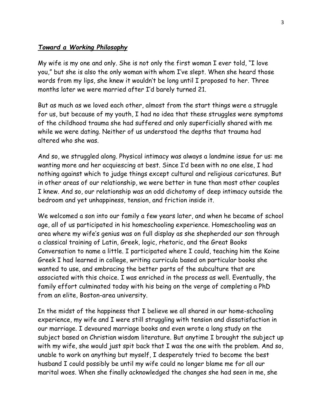### *Toward a Working Philosophy*

My wife is my one and only. She is not only the first woman I ever told, "I love you," but she is also the only woman with whom I've slept. When she heard those words from my lips, she knew it wouldn't be long until I proposed to her. Three months later we were married after I'd barely turned 21.

But as much as we loved each other, almost from the start things were a struggle for us, but because of my youth, I had no idea that these struggles were symptoms of the childhood trauma she had suffered and only superficially shared with me while we were dating. Neither of us understood the depths that trauma had altered who she was.

And so, we struggled along. Physical intimacy was always a landmine issue for us: me wanting more and her acquiescing at best. Since I'd been with no one else, I had nothing against which to judge things except cultural and religious caricatures. But in other areas of our relationship, we were better in tune than most other couples I knew. And so, our relationship was an odd dichotomy of deep intimacy outside the bedroom and yet unhappiness, tension, and friction inside it.

We welcomed a son into our family a few years later, and when he became of school age, all of us participated in his homeschooling experience. Homeschooling was an area where my wife's genius was on full display as she shepherded our son through a classical training of Latin, Greek, logic, rhetoric, and the Great Books Conversation to name a little. I participated where I could, teaching him the Koine Greek I had learned in college, writing curricula based on particular books she wanted to use, and embracing the better parts of the subculture that are associated with this choice. I was enriched in the process as well. Eventually, the family effort culminated today with his being on the verge of completing a PhD from an elite, Boston-area university.

In the midst of the happiness that I believe we all shared in our home-schooling experience, my wife and I were still struggling with tension and dissatisfaction in our marriage. I devoured marriage books and even wrote a long study on the subject based on Christian wisdom literature. But anytime I brought the subject up with my wife, she would just spit back that I was the one with the problem. And so, unable to work on anything but myself, I desperately tried to become the best husband I could possibly be until my wife could no longer blame me for all our marital woes. When she finally acknowledged the changes she had seen in me, she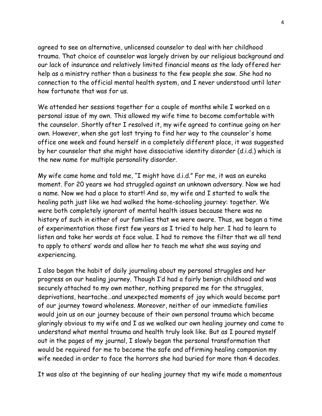agreed to see an alternative, unlicensed counselor to deal with her childhood trauma. That choice of counselor was largely driven by our religious background and our lack of insurance and relatively limited financial means as the lady offered her help as a ministry rather than a business to the few people she saw. She had no connection to the official mental health system, and I never understood until later how fortunate that was for us.

We attended her sessions together for a couple of months while I worked on a personal issue of my own. This allowed my wife time to become comfortable with the counselor. Shortly after I resolved it, my wife agreed to continue going on her own. However, when she got lost trying to find her way to the counselor's home office one week and found herself in a completely different place, it was suggested by her counselor that she might have dissociative identity disorder (d.i.d.) which is the new name for multiple personality disorder.

My wife came home and told me, "I might have d.i.d." For me, it was an eureka moment. For 20 years we had struggled against an unknown adversary. Now we had a name. Now we had a place to start! And so, my wife and I started to walk the healing path just like we had walked the home-schooling journey: together. We were both completely ignorant of mental health issues because there was no history of such in either of our families that we were aware. Thus, we began a time of experimentation those first few years as I tried to help her. I had to learn to listen and take her words at face value. I had to remove the filter that we all tend to apply to others' words and allow her to teach me what she was saying and experiencing.

I also began the habit of daily journaling about my personal struggles and her progress on our healing journey. Though I'd had a fairly benign childhood and was securely attached to my own mother, nothing prepared me for the struggles, deprivations, heartache…and unexpected moments of joy which would become part of our journey toward wholeness. Moreover, neither of our immediate families would join us on our journey because of their own personal trauma which became glaringly obvious to my wife and I as we walked our own healing journey and came to understand what mental trauma and health truly look like. But as I poured myself out in the pages of my journal, I slowly began the personal transformation that would be required for me to become the safe and affirming healing companion my wife needed in order to face the horrors she had buried for more than 4 decades.

It was also at the beginning of our healing journey that my wife made a momentous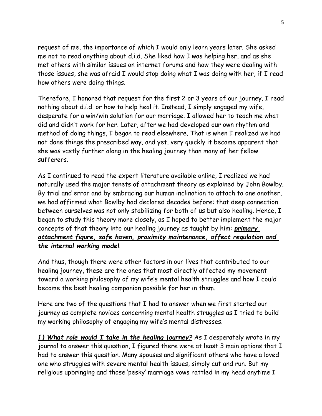request of me, the importance of which I would only learn years later. She asked me not to read anything about d.i.d. She liked how I was helping her, and as she met others with similar issues on internet forums and how they were dealing with those issues, she was afraid I would stop doing what I was doing with her, if I read how others were doing things.

Therefore, I honored that request for the first 2 or 3 years of our journey. I read nothing about d.i.d. or how to help heal it. Instead, I simply engaged my wife, desperate for a win/win solution for our marriage. I allowed her to teach me what did and didn't work for her. Later, after we had developed our own rhythm and method of doing things, I began to read elsewhere. That is when I realized we had not done things the prescribed way, and yet, very quickly it became apparent that she was vastly further along in the healing journey than many of her fellow sufferers.

As I continued to read the expert literature available online, I realized we had naturally used the major tenets of attachment theory as explained by John Bowlby. By trial and error and by embracing our human inclination to attach to one another, we had affirmed what Bowlby had declared decades before: that deep connection between ourselves was not only stabilizing for both of us but also healing. Hence, I began to study this theory more closely, as I hoped to better implement the major concepts of that theory into our healing journey as taught by him: *primary attachment figure, safe haven, proximity maintenance, affect regulation and the internal working model*.

And thus, though there were other factors in our lives that contributed to our healing journey, these are the ones that most directly affected my movement toward a working philosophy of my wife's mental health struggles and how I could become the best healing companion possible for her in them.

Here are two of the questions that I had to answer when we first started our journey as complete novices concerning mental health struggles as I tried to build my working philosophy of engaging my wife's mental distresses.

*1) What role would I take in the healing journey?* As I desperately wrote in my journal to answer this question, I figured there were at least 3 main options that I had to answer this question. Many spouses and significant others who have a loved one who struggles with severe mental health issues, simply cut and run. But my religious upbringing and those 'pesky' marriage vows rattled in my head anytime I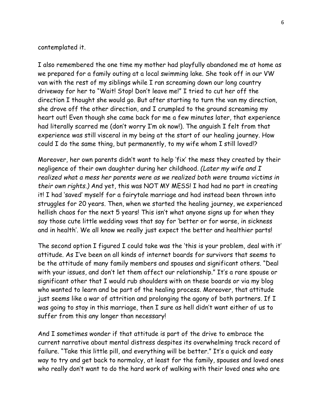#### contemplated it.

I also remembered the one time my mother had playfully abandoned me at home as we prepared for a family outing at a local swimming lake. She took off in our VW van with the rest of my siblings while I ran screaming down our long country driveway for her to "Wait! Stop! Don't leave me!" I tried to cut her off the direction I thought she would go. But after starting to turn the van my direction, she drove off the other direction, and I crumpled to the ground screaming my heart out! Even though she came back for me a few minutes later, that experience had literally scarred me (don't worry I'm ok now!). The anguish I felt from that experience was still visceral in my being at the start of our healing journey. How could I do the same thing, but permanently, to my wife whom I still loved!?

Moreover, her own parents didn't want to help 'fix' the mess they created by their negligence of their own daughter during her childhood. *(Later my wife and I realized what a mess her parents were as we realized both were trauma victims in their own rights.)* And yet, this was NOT MY MESS! I had had no part in creating it! I had 'saved' myself for a fairytale marriage and had instead been thrown into struggles for 20 years. Then, when we started the healing journey, we experienced hellish chaos for the next 5 years! This isn't what anyone signs up for when they say those cute little wedding vows that say for 'better or for worse, in sickness and in health'. We all know we really just expect the better and healthier parts!

The second option I figured I could take was the 'this is your problem, deal with it' attitude. As I've been on all kinds of internet boards for survivors that seems to be the attitude of many family members and spouses and significant others. "Deal with your issues, and don't let them affect our relationship." It's a rare spouse or significant other that I would rub shoulders with on these boards or via my blog who wanted to learn and be part of the healing process. Moreover, that attitude just seems like a war of attrition and prolonging the agony of both partners. If I was going to stay in this marriage, then I sure as hell didn't want either of us to suffer from this any longer than necessary!

And I sometimes wonder if that attitude is part of the drive to embrace the current narrative about mental distress despites its overwhelming track record of failure. "Take this little pill, and everything will be better." It's a quick and easy way to try and get back to normalcy, at least for the family, spouses and loved ones who really don't want to do the hard work of walking with their loved ones who are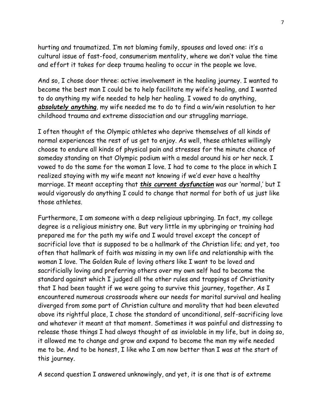hurting and traumatized. I'm not blaming family, spouses and loved one: it's a cultural issue of fast-food, consumerism mentality, where we don't value the time and effort it takes for deep trauma healing to occur in the people we love.

And so, I chose door three: active involvement in the healing journey. I wanted to become the best man I could be to help facilitate my wife's healing, and I wanted to do anything my wife needed to help her healing. I vowed to do anything, *absolutely anything*, my wife needed me to do to find a win/win resolution to her childhood trauma and extreme dissociation and our struggling marriage.

I often thought of the Olympic athletes who deprive themselves of all kinds of normal experiences the rest of us get to enjoy. As well, these athletes willingly choose to endure all kinds of physical pain and stresses for the minute chance of someday standing on that Olympic podium with a medal around his or her neck. I vowed to do the same for the woman I love. I had to come to the place in which I realized staying with my wife meant not knowing if we'd ever have a healthy marriage. It meant accepting that *this current dysfunction* was our 'normal,' but I would vigorously do anything I could to change that normal for both of us just like those athletes.

Furthermore, I am someone with a deep religious upbringing. In fact, my college degree is a religious ministry one. But very little in my upbringing or training had prepared me for the path my wife and I would travel except the concept of sacrificial love that is supposed to be a hallmark of the Christian life; and yet, too often that hallmark of faith was missing in my own life and relationship with the woman I love. The Golden Rule of loving others like I want to be loved and sacrificially loving and preferring others over my own self had to become the standard against which I judged all the other rules and trappings of Christianity that I had been taught if we were going to survive this journey, together. As I encountered numerous crossroads where our needs for marital survival and healing diverged from some part of Christian culture and morality that had been elevated above its rightful place, I chose the standard of unconditional, self-sacrificing love and whatever it meant at that moment. Sometimes it was painful and distressing to release those things I had always thought of as inviolable in my life, but in doing so, it allowed me to change and grow and expand to become the man my wife needed me to be. And to be honest, I like who I am now better than I was at the start of this journey.

A second question I answered unknowingly, and yet, it is one that is of extreme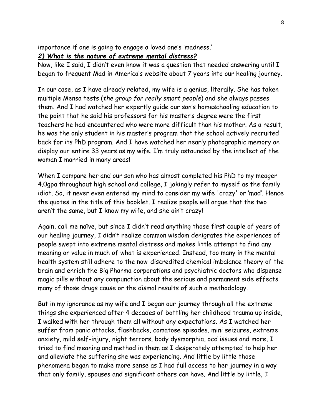importance if one is going to engage a loved one's 'madness.'

### *2) What is the nature of extreme mental distress?*

Now, like I said, I didn't even know it was a question that needed answering until I began to frequent Mad in America's website about 7 years into our healing journey.

In our case, as I have already related, my wife is a genius, literally. She has taken multiple Mensa tests (*the group for really smart people*) and she always passes them. And I had watched her expertly guide our son's homeschooling education to the point that he said his professors for his master's degree were the first teachers he had encountered who were more difficult than his mother. As a result, he was the only student in his master's program that the school actively recruited back for its PhD program. And I have watched her nearly photographic memory on display our entire 33 years as my wife. I'm truly astounded by the intellect of the woman I married in many areas!

When I compare her and our son who has almost completed his PhD to my meager 4.0gpa throughout high school and college, I jokingly refer to myself as the family idiot. So, it never even entered my mind to consider my wife 'crazy' or 'mad'. Hence the quotes in the title of this booklet. I realize people will argue that the two aren't the same, but I know my wife, and she ain't crazy!

Again, call me naïve, but since I didn't read anything those first couple of years of our healing journey, I didn't realize common wisdom denigrates the experiences of people swept into extreme mental distress and makes little attempt to find any meaning or value in much of what is experienced. Instead, too many in the mental health system still adhere to the now-discredited chemical imbalance theory of the brain and enrich the Big Pharma corporations and psychiatric doctors who dispense magic pills without any compunction about the serious and permanent side effects many of those drugs cause or the dismal results of such a methodology.

But in my ignorance as my wife and I began our journey through all the extreme things she experienced after 4 decades of bottling her childhood trauma up inside, I walked with her through them all without any expectations. As I watched her suffer from panic attacks, flashbacks, comatose episodes, mini seizures, extreme anxiety, mild self-injury, night terrors, body dysmorphia, ocd issues and more, I tried to find meaning and method in them as I desperately attempted to help her and alleviate the suffering she was experiencing. And little by little those phenomena began to make more sense as I had full access to her journey in a way that only family, spouses and significant others can have. And little by little, I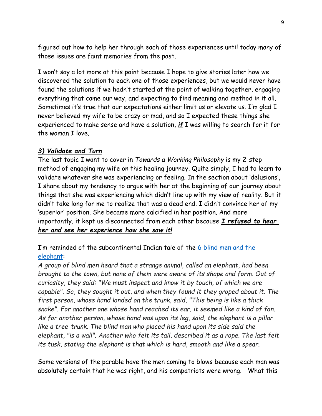figured out how to help her through each of those experiences until today many of those issues are faint memories from the past.

I won't say a lot more at this point because I hope to give stories later how we discovered the solution to each one of those experiences, but we would never have found the solutions if we hadn't started at the point of walking together, engaging everything that came our way, and expecting to find meaning and method in it all. Sometimes it's true that our expectations either limit us or elevate us. I'm glad I never believed my wife to be crazy or mad, and so I expected these things she experienced to make sense and have a solution, *if* I was willing to search for it for the woman I love.

### *3) Validate and Turn*

The last topic I want to cover in *Towards a Working Philosophy* is my 2-step method of engaging my wife on this healing journey. Quite simply, I had to learn to validate whatever she was experiencing or feeling. In the section about 'delusions', I share about my tendency to argue with her at the beginning of our journey about things that she was experiencing which didn't line up with my view of reality. But it didn't take long for me to realize that was a dead end. I didn't convince her of my 'superior' position. She became more calcified in her position. And more importantly, it kept us disconnected from each other because *I refused to hear her and see her experience how she saw it!*

I'm reminded of the subcontinental Indian tale of the [6 blind men](https://en.wikipedia.org/wiki/Blind_men_and_an_elephant) and the [elephant:](https://en.wikipedia.org/wiki/Blind_men_and_an_elephant)

*A group of blind men heard that a strange animal, called an elephant, had been brought to the town, but none of them were aware of its shape and form. Out of curiosity, they said: "We must inspect and know it by touch, of which we are capable". So, they sought it out, and when they found it they groped about it. The first person, whose hand landed on the trunk, said, "This being is like a thick snake". For another one whose hand reached its ear, it seemed like a kind of fan. As for another person, whose hand was upon its leg, said, the elephant is a pillar like a tree-trunk. The blind man who placed his hand upon its side said the elephant, "is a wall". Another who felt its tail, described it as a rope. The last felt its tusk, stating the elephant is that which is hard, smooth and like a spear.*

Some versions of the parable have the men coming to blows because each man was absolutely certain that he was right, and his compatriots were wrong. What this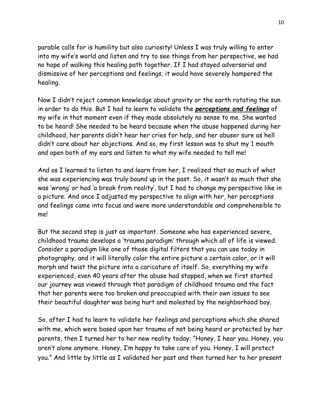parable calls for is humility but also curiosity! Unless I was truly willing to enter into my wife's world and listen and try to see things from her perspective, we had no hope of walking this healing path together. If I had stayed adversarial and dismissive of her perceptions and feelings, it would have severely hampered the healing.

Now I didn't reject common knowledge about gravity or the earth rotating the sun in order to do this. But I had to learn to validate the *perceptions and feelings* of my wife in that moment even if they made absolutely no sense to me. She wanted to be heard! She needed to be heard because when the abuse happened during her childhood, her parents didn't hear her cries for help, and her abuser sure as hell didn't care about her objections. And so, my first lesson was to shut my 1 mouth and open both of my ears and listen to what my wife needed to tell me!

And as I learned to listen to and learn from her, I realized that so much of what she was experiencing was truly bound up in the past. So, it wasn't so much that she was 'wrong' or had 'a break from reality', but I had to change my perspective like in a picture. And once I adjusted my perspective to align with her, her perceptions and feelings came into focus and were more understandable and comprehensible to me!

But the second step is just as important. Someone who has experienced severe, childhood trauma develops a 'trauma paradigm' through which all of life is viewed. Consider a paradigm like one of those digital filters that you can use today in photography, and it will literally color the entire picture a certain color, or it will morph and twist the picture into a caricature of itself. So, everything my wife experienced, even 40 years after the abuse had stopped, when we first started our journey was viewed through that paradigm of childhood trauma and the fact that her parents were too broken and preoccupied with their own issues to see their beautiful daughter was being hurt and molested by the neighborhood boy.

So, after I had to learn to validate her feelings and perceptions which she shared with me, which were based upon her trauma of not being heard or protected by her parents, then I turned her to her new reality today: "Honey, I hear you. Honey, you aren't alone anymore. Honey, I'm happy to take care of you. Honey, I will protect you." And little by little as I validated her past and then turned her to her present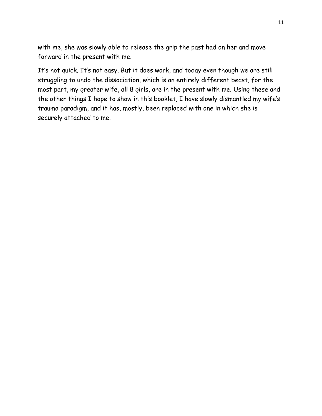with me, she was slowly able to release the grip the past had on her and move forward in the present with me.

It's not quick. It's not easy. But it does work, and today even though we are still struggling to undo the dissociation, which is an entirely different beast, for the most part, my greater wife, all 8 girls, are in the present with me. Using these and the other things I hope to show in this booklet, I have slowly dismantled my wife's trauma paradigm, and it has, mostly, been replaced with one in which she is securely attached to me.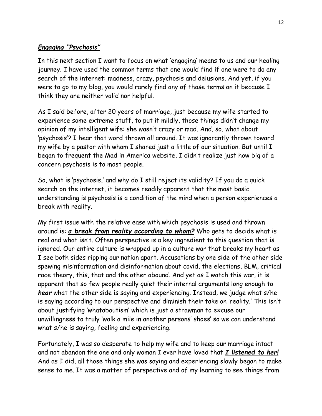# *Engaging "Psychosis"*

In this next section I want to focus on what 'engaging' means to us and our healing journey. I have used the common terms that one would find if one were to do any search of the internet: madness, crazy, psychosis and delusions. And yet, if you were to go to my blog, you would rarely find any of those terms on it because I think they are neither valid nor helpful.

As I said before, after 20 years of marriage, just because my wife started to experience some extreme stuff, to put it mildly, those things didn't change my opinion of my intelligent wife: she wasn't crazy or mad. And, so, what about 'psychosis'? I hear that word thrown all around. It was ignorantly thrown toward my wife by a pastor with whom I shared just a little of our situation. But until I began to frequent the Mad in America website, I didn't realize just how big of a concern psychosis is to most people.

So, what is 'psychosis,' and why do I still reject its validity? If you do a quick search on the internet, it becomes readily apparent that the most basic understanding is psychosis is a condition of the mind when a person experiences a break with reality.

My first issue with the relative ease with which psychosis is used and thrown around is: *a break from reality according to whom?* Who gets to decide what is real and what isn't. Often perspective is a key ingredient to this question that is ignored. Our entire culture is wrapped up in a culture war that breaks my heart as I see both sides ripping our nation apart. Accusations by one side of the other side spewing misinformation and disinformation about covid, the elections, BLM, critical race theory, this, that and the other abound. And yet as I watch this war, it is apparent that so few people really quiet their internal arguments long enough to *hear* what the other side is saying and experiencing. Instead, we judge what s/he is saying according to our perspective and diminish their take on 'reality.' This isn't about justifying 'whataboutism' which is just a strawman to excuse our unwillingness to truly 'walk a mile in another persons' shoes' so we can understand what s/he is saying, feeling and experiencing.

Fortunately, I was so desperate to help my wife and to keep our marriage intact and not abandon the one and only woman I ever have loved that *I listened to her!* And as I did, all those things she was saying and experiencing slowly began to make sense to me. It was a matter of perspective and of my learning to see things from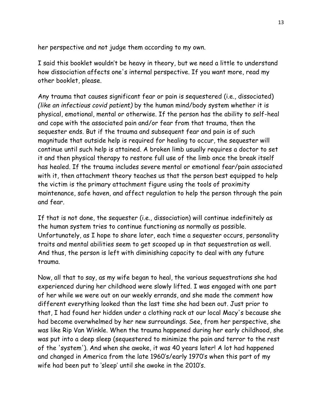her perspective and not judge them according to my own.

I said this booklet wouldn't be heavy in theory, but we need a little to understand how dissociation affects one's internal perspective. If you want more, read my other booklet, please.

Any trauma that causes significant fear or pain is sequestered (i.e., dissociated) *(like an infectious covid patient)* by the human mind/body system whether it is physical, emotional, mental or otherwise. If the person has the ability to self-heal and cope with the associated pain and/or fear from that trauma, then the sequester ends. But if the trauma and subsequent fear and pain is of such magnitude that outside help is required for healing to occur, the sequester will continue until such help is attained. A broken limb usually requires a doctor to set it and then physical therapy to restore full use of the limb once the break itself has healed. If the trauma includes severe mental or emotional fear/pain associated with it, then attachment theory teaches us that the person best equipped to help the victim is the primary attachment figure using the tools of proximity maintenance, safe haven, and affect regulation to help the person through the pain and fear.

If that is not done, the sequester (i.e., dissociation) will continue indefinitely as the human system tries to continue functioning as normally as possible. Unfortunately, as I hope to share later, each time a sequester occurs, personality traits and mental abilities seem to get scooped up in that sequestration as well. And thus, the person is left with diminishing capacity to deal with any future trauma.

Now, all that to say, as my wife began to heal, the various sequestrations she had experienced during her childhood were slowly lifted. I was engaged with one part of her while we were out on our weekly errands, and she made the comment how different everything looked than the last time she had been out. Just prior to that, I had found her hidden under a clothing rack at our local Macy's because she had become overwhelmed by her new surroundings. See, from her perspective, she was like Rip Van Winkle. When the trauma happened during her early childhood, she was put into a deep sleep (sequestered to minimize the pain and terror to the rest of the 'system'). And when she awoke, it was 40 years later! A lot had happened and changed in America from the late 1960's/early 1970's when this part of my wife had been put to 'sleep' until she awoke in the 2010's.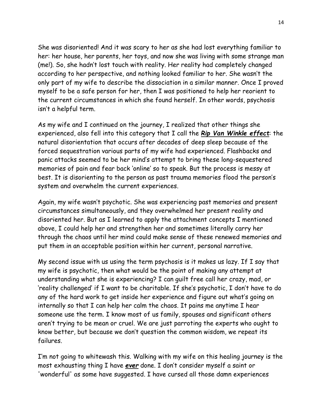She was disoriented! And it was scary to her as she had lost everything familiar to her: her house, her parents, her toys, and now she was living with some strange man (me!). So, she hadn't lost touch with reality. Her reality had completely changed according to her perspective, and nothing looked familiar to her. She wasn't the only part of my wife to describe the dissociation in a similar manner. Once I proved myself to be a safe person for her, then I was positioned to help her reorient to the current circumstances in which she found herself. In other words, psychosis isn't a helpful term.

As my wife and I continued on the journey, I realized that other things she experienced, also fell into this category that I call the *Rip Van Winkle effect*: the natural disorientation that occurs after decades of deep sleep because of the forced sequestration various parts of my wife had experienced. Flashbacks and panic attacks seemed to be her mind's attempt to bring these long-sequestered memories of pain and fear back 'online' so to speak. But the process is messy at best. It is disorienting to the person as past trauma memories flood the person's system and overwhelm the current experiences.

Again, my wife wasn't psychotic. She was experiencing past memories and present circumstances simultaneously, and they overwhelmed her present reality and disoriented her. But as I learned to apply the attachment concepts I mentioned above, I could help her and strengthen her and sometimes literally carry her through the chaos until her mind could make sense of these renewed memories and put them in an acceptable position within her current, personal narrative.

My second issue with us using the term psychosis is it makes us lazy. If I say that my wife is psychotic, then what would be the point of making any attempt at understanding what she is experiencing? I can guilt free call her crazy, mad, or 'reality challenged' if I want to be charitable. If she's psychotic, I don't have to do any of the hard work to get inside her experience and figure out what's going on internally so that I can help her calm the chaos. It pains me anytime I hear someone use the term. I know most of us family, spouses and significant others aren't trying to be mean or cruel. We are just parroting the experts who ought to know better, but because we don't question the common wisdom, we repeat its failures.

I'm not going to whitewash this. Walking with my wife on this healing journey is the most exhausting thing I have *ever* done. I don't consider myself a saint or 'wonderful' as some have suggested. I have cursed all those damn experiences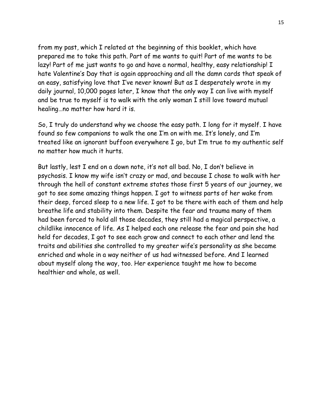from my past, which I related at the beginning of this booklet, which have prepared me to take this path. Part of me wants to quit! Part of me wants to be lazy! Part of me just wants to go and have a normal, healthy, easy relationship! I hate Valentine's Day that is again approaching and all the damn cards that speak of an easy, satisfying love that I've never known! But as I desperately wrote in my daily journal, 10,000 pages later, I know that the only way I can live with myself and be true to myself is to walk with the only woman I still love toward mutual healing…no matter how hard it is.

So, I truly do understand why we choose the easy path. I long for it myself. I have found so few companions to walk the one I'm on with me. It's lonely, and I'm treated like an ignorant buffoon everywhere I go, but I'm true to my authentic self no matter how much it hurts.

But lastly, lest I end on a down note, it's not all bad. No, I don't believe in psychosis. I know my wife isn't crazy or mad, and because I chose to walk with her through the hell of constant extreme states those first 5 years of our journey, we got to see some amazing things happen. I got to witness parts of her wake from their deep, forced sleep to a new life. I got to be there with each of them and help breathe life and stability into them. Despite the fear and trauma many of them had been forced to hold all those decades, they still had a magical perspective, a childlike innocence of life. As I helped each one release the fear and pain she had held for decades, I got to see each grow and connect to each other and lend the traits and abilities she controlled to my greater wife's personality as she became enriched and whole in a way neither of us had witnessed before. And I learned about myself along the way, too. Her experience taught me how to become healthier and whole, as well.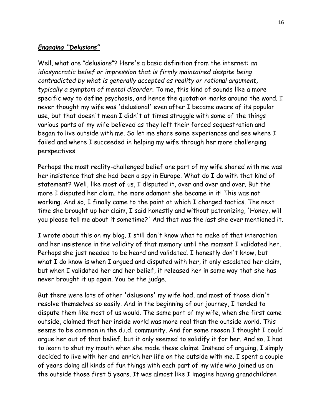### *Engaging "Delusions"*

Well, what are "delusions"? Here's a basic definition from the internet: *an idiosyncratic belief or impression that is firmly maintained despite being contradicted by what is generally accepted as reality or rational argument, typically a symptom of mental disorder.* To me, this kind of sounds like a more specific way to define psychosis, and hence the quotation marks around the word. I never thought my wife was 'delusional' even after I became aware of its popular use, but that doesn't mean I didn't at times struggle with some of the things various parts of my wife believed as they left their forced sequestration and began to live outside with me. So let me share some experiences and see where I failed and where I succeeded in helping my wife through her more challenging perspectives.

Perhaps the most reality-challenged belief one part of my wife shared with me was her insistence that she had been a spy in Europe. What do I do with that kind of statement? Well, like most of us, I disputed it, over and over and over. But the more I disputed her claim, the more adamant she became in it! This was not working. And so, I finally came to the point at which I changed tactics. The next time she brought up her claim, I said honestly and without patronizing, 'Honey, will you please tell me about it sometime?' And that was the last she ever mentioned it.

I wrote about this on my blog. I still don't know what to make of that interaction and her insistence in the validity of that memory until the moment I validated her. Perhaps she just needed to be heard and validated. I honestly don't know, but what I do know is when I argued and disputed with her, it only escalated her claim, but when I validated her and her belief, it released her in some way that she has never brought it up again. You be the judge.

But there were lots of other 'delusions' my wife had, and most of those didn't resolve themselves so easily. And in the beginning of our journey, I tended to dispute them like most of us would. The same part of my wife, when she first came outside, claimed that her inside world was more real than the outside world. This seems to be common in the d.i.d. community. And for some reason I thought I could argue her out of that belief, but it only seemed to solidify it for her. And so, I had to learn to shut my mouth when she made these claims. Instead of arguing, I simply decided to live with her and enrich her life on the outside with me. I spent a couple of years doing all kinds of fun things with each part of my wife who joined us on the outside those first 5 years. It was almost like I imagine having grandchildren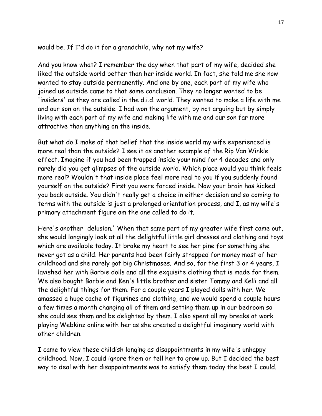### would be. If I'd do it for a grandchild, why not my wife?

And you know what? I remember the day when that part of my wife, decided she liked the outside world better than her inside world. In fact, she told me she now wanted to stay outside permanently. And one by one, each part of my wife who joined us outside came to that same conclusion. They no longer wanted to be 'insiders' as they are called in the d.i.d. world. They wanted to make a life with me and our son on the outside. I had won the argument, by not arguing but by simply living with each part of my wife and making life with me and our son far more attractive than anything on the inside.

But what do I make of that belief that the inside world my wife experienced is more real than the outside? I see it as another example of the Rip Van Winkle effect. Imagine if you had been trapped inside your mind for 4 decades and only rarely did you get glimpses of the outside world. Which place would you think feels more real? Wouldn't that inside place feel more real to you if you suddenly found yourself on the outside? First you were forced inside. Now your brain has kicked you back outside. You didn't really get a choice in either decision and so coming to terms with the outside is just a prolonged orientation process, and I, as my wife's primary attachment figure am the one called to do it.

Here's another 'delusion.' When that same part of my greater wife first came out, she would longingly look at all the delightful little girl dresses and clothing and toys which are available today. It broke my heart to see her pine for something she never got as a child. Her parents had been fairly strapped for money most of her childhood and she rarely got big Christmases. And so, for the first 3 or 4 years, I lavished her with Barbie dolls and all the exquisite clothing that is made for them. We also bought Barbie and Ken's little brother and sister Tommy and Kelli and all the delightful things for them. For a couple years I played dolls with her. We amassed a huge cache of figurines and clothing, and we would spend a couple hours a few times a month changing all of them and setting them up in our bedroom so she could see them and be delighted by them. I also spent all my breaks at work playing Webkinz online with her as she created a delightful imaginary world with other children.

I came to view these childish longing as disappointments in my wife's unhappy childhood. Now, I could ignore them or tell her to grow up. But I decided the best way to deal with her disappointments was to satisfy them today the best I could.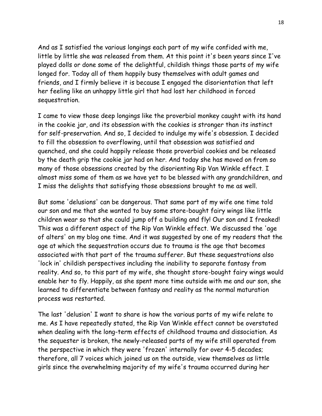And as I satisfied the various longings each part of my wife confided with me, little by little she was released from them. At this point it's been years since I've played dolls or done some of the delightful, childish things those parts of my wife longed for. Today all of them happily busy themselves with adult games and friends, and I firmly believe it is because I engaged the disorientation that left her feeling like an unhappy little girl that had lost her childhood in forced sequestration.

I came to view those deep longings like the proverbial monkey caught with its hand in the cookie jar, and its obsession with the cookies is stronger than its instinct for self-preservation. And so, I decided to indulge my wife's obsession. I decided to fill the obsession to overflowing, until that obsession was satisfied and quenched, and she could happily release those proverbial cookies and be released by the death grip the cookie jar had on her. And today she has moved on from so many of those obsessions created by the disorienting Rip Van Winkle effect. I almost miss some of them as we have yet to be blessed with any grandchildren, and I miss the delights that satisfying those obsessions brought to me as well.

But some 'delusions' can be dangerous. That same part of my wife one time told our son and me that she wanted to buy some store-bought fairy wings like little children wear so that she could jump off a building and fly! Our son and I freaked! This was a different aspect of the Rip Van Winkle effect. We discussed the 'age of alters' on my blog one time. And it was suggested by one of my readers that the age at which the sequestration occurs due to trauma is the age that becomes associated with that part of the trauma sufferer. But these sequestrations also 'lock in' childish perspectives including the inability to separate fantasy from reality. And so, to this part of my wife, she thought store-bought fairy wings would enable her to fly. Happily, as she spent more time outside with me and our son, she learned to differentiate between fantasy and reality as the normal maturation process was restarted.

The last 'delusion' I want to share is how the various parts of my wife relate to me. As I have repeatedly stated, the Rip Van Winkle effect cannot be overstated when dealing with the long-term effects of childhood trauma and dissociation. As the sequester is broken, the newly-released parts of my wife still operated from the perspective in which they were 'frozen' internally for over 4-5 decades; therefore, all 7 voices which joined us on the outside, view themselves as little girls since the overwhelming majority of my wife's trauma occurred during her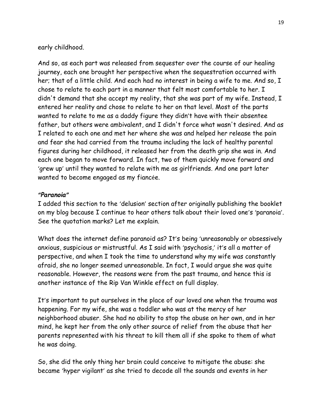early childhood.

And so, as each part was released from sequester over the course of our healing journey, each one brought her perspective when the sequestration occurred with her; that of a little child. And each had no interest in being a wife to me. And so, I chose to relate to each part in a manner that felt most comfortable to her. I didn't demand that she accept my reality, that she was part of my wife. Instead, I entered her reality and chose to relate to her on that level. Most of the parts wanted to relate to me as a daddy figure they didn't have with their absentee father, but others were ambivalent, and I didn't force what wasn't desired. And as I related to each one and met her where she was and helped her release the pain and fear she had carried from the trauma including the lack of healthy parental figures during her childhood, it released her from the death grip she was in. And each one began to move forward. In fact, two of them quickly move forward and 'grew up' until they wanted to relate with me as girlfriends. And one part later wanted to become engaged as my fiancée.

### *"Paranoia"*

I added this section to the 'delusion' section after originally publishing the booklet on my blog because I continue to hear others talk about their loved one's 'paranoia'. See the quotation marks? Let me explain.

What does the internet define paranoid as? It's being 'unreasonably or obsessively anxious, suspicious or mistrustful. As I said with 'psychosis,' it's all a matter of perspective, and when I took the time to understand why my wife was constantly afraid, she no longer seemed unreasonable. In fact, I would argue she was quite reasonable. However, the reasons were from the past trauma, and hence this is another instance of the Rip Van Winkle effect on full display.

It's important to put ourselves in the place of our loved one when the trauma was happening. For my wife, she was a toddler who was at the mercy of her neighborhood abuser. She had no ability to stop the abuse on her own, and in her mind, he kept her from the only other source of relief from the abuse that her parents represented with his threat to kill them all if she spoke to them of what he was doing.

So, she did the only thing her brain could conceive to mitigate the abuse: she became 'hyper vigilant' as she tried to decode all the sounds and events in her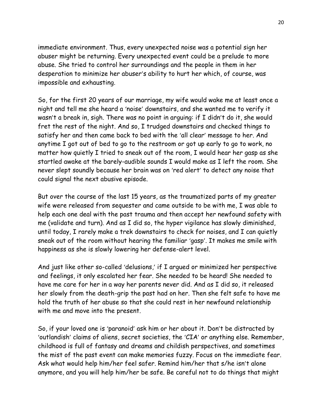immediate environment. Thus, every unexpected noise was a potential sign her abuser might be returning. Every unexpected event could be a prelude to more abuse. She tried to control her surroundings and the people in them in her desperation to minimize her abuser's ability to hurt her which, of course, was impossible and exhausting.

So, for the first 20 years of our marriage, my wife would wake me at least once a night and tell me she heard a 'noise' downstairs, and she wanted me to verify it wasn't a break in, sigh. There was no point in arguing: if I didn't do it, she would fret the rest of the night. And so, I trudged downstairs and checked things to satisfy her and then came back to bed with the 'all clear' message to her. And anytime I got out of bed to go to the restroom or got up early to go to work, no matter how quietly I tried to sneak out of the room, I would hear her gasp as she startled awake at the barely-audible sounds I would make as I left the room. She never slept soundly because her brain was on 'red alert' to detect any noise that could signal the next abusive episode.

But over the course of the last 15 years, as the traumatized parts of my greater wife were released from sequester and came outside to be with me, I was able to help each one deal with the past trauma and then accept her newfound safety with me (validate and turn). And as I did so, the hyper vigilance has slowly diminished, until today, I rarely make a trek downstairs to check for noises, and I can quietly sneak out of the room without hearing the familiar 'gasp'. It makes me smile with happiness as she is slowly lowering her defense-alert level.

And just like other so-called 'delusions,' if I argued or minimized her perspective and feelings, it only escalated her fear. She needed to be heard! She needed to have me care for her in a way her parents never did. And as I did so, it released her slowly from the death-grip the past had on her. Then she felt safe to have me hold the truth of her abuse so that she could rest in her newfound relationship with me and move into the present.

So, if your loved one is 'paranoid' ask him or her about it. Don't be distracted by 'outlandish' claims of aliens, secret societies, the 'CIA' or anything else. Remember, childhood is full of fantasy and dreams and childish perspectives, and sometimes the mist of the past event can make memories fuzzy. Focus on the immediate fear. Ask what would help him/her feel safer. Remind him/her that s/he isn't alone anymore, and you will help him/her be safe. Be careful not to do things that might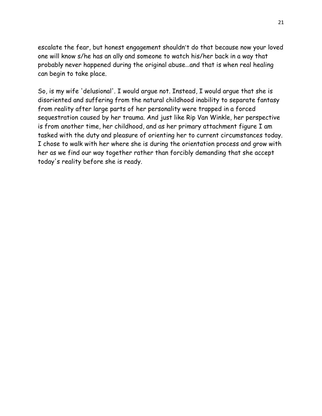escalate the fear, but honest engagement shouldn't do that because now your loved one will know s/he has an ally and someone to watch his/her back in a way that probably never happened during the original abuse…and that is when real healing can begin to take place.

So, is my wife 'delusional'. I would argue not. Instead, I would argue that she is disoriented and suffering from the natural childhood inability to separate fantasy from reality after large parts of her personality were trapped in a forced sequestration caused by her trauma. And just like Rip Van Winkle, her perspective is from another time, her childhood, and as her primary attachment figure I am tasked with the duty and pleasure of orienting her to current circumstances today. I chose to walk with her where she is during the orientation process and grow with her as we find our way together rather than forcibly demanding that she accept today's reality before she is ready.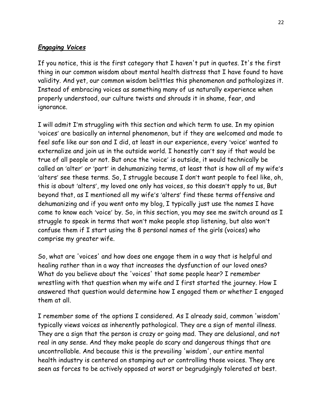### *Engaging Voices*

If you notice, this is the first category that I haven't put in quotes. It's the first thing in our common wisdom about mental health distress that I have found to have validity. And yet, our common wisdom belittles this phenomenon and pathologizes it. Instead of embracing voices as something many of us naturally experience when properly understood, our culture twists and shrouds it in shame, fear, and ignorance.

I will admit I'm struggling with this section and which term to use. In my opinion 'voices' are basically an internal phenomenon, but if they are welcomed and made to feel safe like our son and I did, at least in our experience, every 'voice' wanted to externalize and join us in the outside world. I honestly can't say if that would be true of all people or not. But once the 'voice' is outside, it would technically be called an 'alter' or 'part' in dehumanizing terms, at least that is how all of my wife's 'alters' see these terms. So, I struggle because I don't want people to feel like, oh, this is about 'alters', my loved one only has voices, so this doesn't apply to us, But beyond that, as I mentioned all my wife's 'alters' find these terms offensive and dehumanizing and if you went onto my blog, I typically just use the names I have come to know each 'voice' by. So, in this section, you may see me switch around as I struggle to speak in terms that won't make people stop listening, but also won't confuse them if I start using the 8 personal names of the girls (voices) who comprise my greater wife.

So, what are 'voices' and how does one engage them in a way that is helpful and healing rather than in a way that increases the dysfunction of our loved ones? What do you believe about the 'voices' that some people hear? I remember wrestling with that question when my wife and I first started the journey. How I answered that question would determine how I engaged them or whether I engaged them at all.

I remember some of the options I considered. As I already said, common 'wisdom' typically views voices as inherently pathological. They are a sign of mental illness. They are a sign that the person is crazy or going mad. They are delusional, and not real in any sense. And they make people do scary and dangerous things that are uncontrollable. And because this is the prevailing 'wisdom', our entire mental health industry is centered on stamping out or controlling those voices. They are seen as forces to be actively opposed at worst or begrudgingly tolerated at best.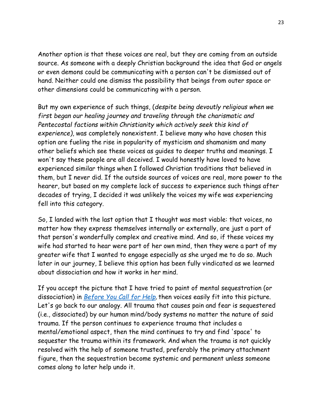Another option is that these voices are real, but they are coming from an outside source. As someone with a deeply Christian background the idea that God or angels or even demons could be communicating with a person can't be dismissed out of hand. Neither could one dismiss the possibility that beings from outer space or other dimensions could be communicating with a person.

But my own experience of such things, (*despite being devoutly religious when we first began our healing journey and traveling through the charismatic and Pentecostal factions within Christianity which actively seek this kind of experience)*, was completely nonexistent. I believe many who have chosen this option are fueling the rise in popularity of mysticism and shamanism and many other beliefs which see these voices as guides to deeper truths and meanings. I won't say these people are all deceived. I would honestly have loved to have experienced similar things when I followed Christian traditions that believed in them, but I never did. If the outside sources of voices are real, more power to the hearer, but based on my complete lack of success to experience such things after decades of trying, I decided it was unlikely the voices my wife was experiencing fell into this category.

So, I landed with the last option that I thought was most viable: that voices, no matter how they express themselves internally or externally, are just a part of that person's wonderfully complex and creative mind. And so, if these voices my wife had started to hear were part of her own mind, then they were a part of my greater wife that I wanted to engage especially as she urged me to do so. Much later in our journey, I believe this option has been fully vindicated as we learned about dissociation and how it works in her mind.

If you accept the picture that I have tried to paint of mental sequestration (or dissociation) in *[Before You Call for Help](https://samruck2.wordpress.com/2021/01/29/before-you-call-for-help/)*, then voices easily fit into this picture. Let's go back to our analogy. All trauma that causes pain and fear is sequestered (i.e., dissociated) by our human mind/body systems no matter the nature of said trauma. If the person continues to experience trauma that includes a mental/emotional aspect, then the mind continues to try and find 'space' to sequester the trauma within its framework. And when the trauma is not quickly resolved with the help of someone trusted, preferably the primary attachment figure, then the sequestration become systemic and permanent unless someone comes along to later help undo it.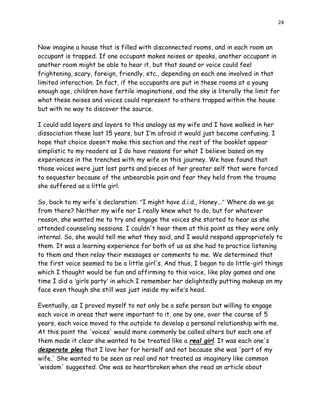Now imagine a house that is filled with disconnected rooms, and in each room an occupant is trapped. If one occupant makes noises or speaks, another occupant in another room might be able to hear it, but that sound or voice could feel frightening, scary, foreign, friendly, etc., depending on each one involved in that limited interaction. In fact, if the occupants are put in these rooms at a young enough age, children have fertile imaginations, and the sky is literally the limit for what these noises and voices could represent to others trapped within the house but with no way to discover the source.

I could add layers and layers to this analogy as my wife and I have walked in her dissociation these last 15 years, but I'm afraid it would just become confusing. I hope that choice doesn't make this section and the rest of the booklet appear simplistic to my readers as I do have reasons for what I believe based on my experiences in the trenches with my wife on this journey. We have found that those voices were just lost parts and pieces of her greater self that were forced to sequester because of the unbearable pain and fear they held from the trauma she suffered as a little girl.

So, back to my wife's declaration: "I might have d.i.d., Honey..." Where do we go from there? Neither my wife nor I really knew what to do, but for whatever reason, she wanted me to try and engage the voices she started to hear as she attended counseling sessions. I couldn't hear them at this point as they were only internal. So, she would tell me what they said, and I would respond appropriately to them. It was a learning experience for both of us as she had to practice listening to them and then relay their messages or comments to me. We determined that the first voice seemed to be a little girl's. And thus, I began to do little-girl things which I thought would be fun and affirming to this voice, like play games and one time I did a 'girls party' in which I remember her delightedly putting makeup on my face even though she still was just inside my wife's head.

Eventually, as I proved myself to not only be a safe person but willing to engage each voice in areas that were important to it, one by one, over the course of 5 years, each voice moved to the outside to develop a personal relationship with me. At this point the 'voices' would more commonly be called alters but each one of them made it clear she wanted to be treated like a *real girl*. It was each one's *desperate plea* that I love her for herself and not because she was 'part of my wife.' She wanted to be seen as real and not treated as imaginary like common 'wisdom' suggested. One was so heartbroken when she read an article about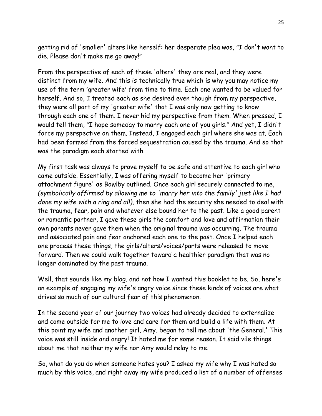getting rid of 'smaller' alters like herself: her desperate plea was, "I don't want to die. Please don't make me go away!"

From the perspective of each of these 'alters' they are real, and they were distinct from my wife. And this is technically true which is why you may notice my use of the term 'greater wife' from time to time. Each one wanted to be valued for herself. And so, I treated each as she desired even though from my perspective, they were all part of my 'greater wife' that I was only now getting to know through each one of them. I never hid my perspective from them. When pressed, I would tell them, "I hope someday to marry each one of you girls." And yet, I didn't force my perspective on them. Instead, I engaged each girl where she was at. Each had been formed from the forced sequestration caused by the trauma. And so that was the paradigm each started with.

My first task was always to prove myself to be safe and attentive to each girl who came outside. Essentially, I was offering myself to become her 'primary attachment figure' as Bowlby outlined. Once each girl securely connected to me, *(symbolically affirmed by allowing me to 'marry her into the family' just like I had done my wife with a ring and all),* then she had the security she needed to deal with the trauma, fear, pain and whatever else bound her to the past. Like a good parent or romantic partner, I gave these girls the comfort and love and affirmation their own parents never gave them when the original trauma was occurring. The trauma and associated pain and fear anchored each one to the past. Once I helped each one process these things, the girls/alters/voices/parts were released to move forward. Then we could walk together toward a healthier paradigm that was no longer dominated by the past trauma.

Well, that sounds like my blog, and not how I wanted this booklet to be. So, here's an example of engaging my wife's angry voice since these kinds of voices are what drives so much of our cultural fear of this phenomenon.

In the second year of our journey two voices had already decided to externalize and come outside for me to love and care for them and build a life with them. At this point my wife and another girl, Amy, began to tell me about 'the General.' This voice was still inside and angry! It hated me for some reason. It said vile things about me that neither my wife nor Amy would relay to me.

So, what do you do when someone hates you? I asked my wife why I was hated so much by this voice, and right away my wife produced a list of a number of offenses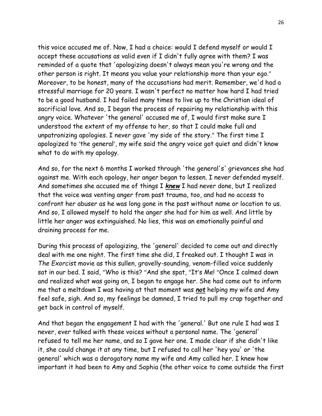this voice accused me of. Now, I had a choice: would I defend myself or would I accept these accusations as valid even if I didn't fully agree with them? I was reminded of a quote that 'apologizing doesn't always mean you're wrong and the other person is right. It means you value your relationship more than your ego." Moreover, to be honest, many of the accusations had merit. Remember, we'd had a stressful marriage for 20 years. I wasn't perfect no matter how hard I had tried to be a good husband. I had failed many times to live up to the Christian ideal of sacrificial love. And so, I began the process of repairing my relationship with this angry voice. Whatever 'the general' accused me of, I would first make sure I understood the extent of my offense to her, so that I could make full and unpatronizing apologies. I never gave 'my side of the story." The first time I apologized to 'the general', my wife said the angry voice got quiet and didn't know what to do with my apology.

And so, for the next 6 months I worked through 'the general's' grievances she had against me. With each apology, her anger began to lessen. I never defended myself. And sometimes she accused me of things I *knew* I had never done, but I realized that the voice was venting anger from past trauma, too, and had no access to confront her abuser as he was long gone in the past without name or location to us. And so, I allowed myself to hold the anger she had for him as well. And little by little her anger was extinguished. No lies, this was an emotionally painful and draining process for me.

During this process of apologizing, the 'general' decided to come out and directly deal with me one night. The first time she did, I freaked out. I thought I was in *The Exorcist* movie as this sullen, gravelly-sounding, venom-filled voice suddenly sat in our bed. I said, "Who is this? "And she spat, "It's Me! "Once I calmed down and realized what was going on, I began to engage her. She had come out to inform me that a meltdown I was having at that moment was *not* helping my wife and Amy feel safe, sigh. And so, my feelings be damned, I tried to pull my crap together and get back in control of myself.

And that began the engagement I had with the 'general.' But one rule I had was I never, ever talked with these voices without a personal name. The 'general' refused to tell me her name, and so I gave her one. I made clear if she didn't like it, she could change it at any time, but I refused to call her 'hey you' or 'the general' which was a derogatory name my wife and Amy called her. I knew how important it had been to Amy and Sophia (the other voice to come outside the first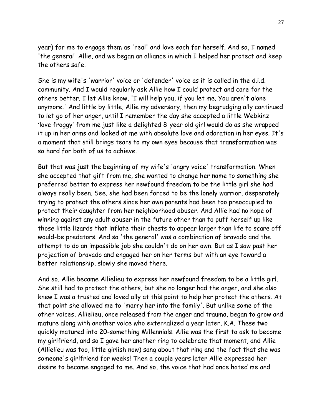year) for me to engage them as 'real' and love each for herself. And so, I named 'the general' Allie, and we began an alliance in which I helped her protect and keep the others safe.

She is my wife's 'warrior' voice or 'defender' voice as it is called in the d.i.d. community. And I would regularly ask Allie how I could protect and care for the others better. I let Allie know, 'I will help you, if you let me. You aren't alone anymore.' And little by little, Allie my adversary, then my begrudging ally continued to let go of her anger, until I remember the day she accepted a little Webkinz 'love froggy' from me just like a delighted 8-year old girl would do as she wrapped it up in her arms and looked at me with absolute love and adoration in her eyes. It's a moment that still brings tears to my own eyes because that transformation was so hard for both of us to achieve.

But that was just the beginning of my wife's 'angry voice' transformation. When she accepted that gift from me, she wanted to change her name to something she preferred better to express her newfound freedom to be the little girl she had always really been. See, she had been forced to be the lonely warrior, desperately trying to protect the others since her own parents had been too preoccupied to protect their daughter from her neighborhood abuser. And Allie had no hope of winning against any adult abuser in the future other than to puff herself up like those little lizards that inflate their chests to appear larger than life to scare off would-be predators. And so 'the general' was a combination of bravado and the attempt to do an impossible job she couldn't do on her own. But as I saw past her projection of bravado and engaged her on her terms but with an eye toward a better relationship, slowly she moved there.

And so, Allie became Allielieu to express her newfound freedom to be a little girl. She still had to protect the others, but she no longer had the anger, and she also knew I was a trusted and loved ally at this point to help her protect the others. At that point she allowed me to 'marry her into the family'. But unlike some of the other voices, Allielieu, once released from the anger and trauma, began to grow and mature along with another voice who externalized a year later, K.A. These two quickly matured into 20-something Millennials. Allie was the first to ask to become my girlfriend, and so I gave her another ring to celebrate that moment, and Allie (Allielieu was too, little girlish now) sang about that ring and the fact that she was someone's girlfriend for weeks! Then a couple years later Allie expressed her desire to become engaged to me. And so, the voice that had once hated me and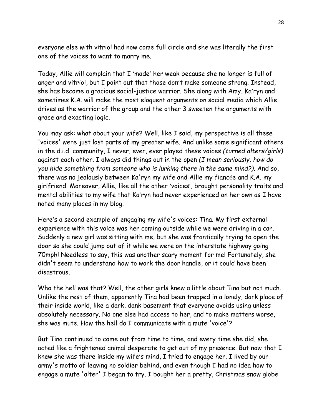everyone else with vitriol had now come full circle and she was literally the first one of the voices to want to marry me.

Today, Allie will complain that I 'made' her weak because she no longer is full of anger and vitriol, but I point out that those don't make someone strong. Instead, she has become a gracious social-justice warrior. She along with Amy, Ka'ryn and sometimes K.A. will make the most eloquent arguments on social media which Allie drives as the warrior of the group and the other 3 sweeten the arguments with grace and exacting logic.

You may ask: what about your wife? Well, like I said, my perspective is all these 'voices' were just lost parts of my greater wife. And unlike some significant others in the d.i.d. community, I never, ever, ever played these voices *(turned alters/girls)* against each other. I always did things out in the open *(I mean seriously, how do you hide something from someone who is lurking there in the same mind?)*. And so, there was no jealously between Ka'ryn my wife and Allie my fiancée and K.A. my girlfriend. Moreover, Allie, like all the other 'voices', brought personality traits and mental abilities to my wife that Ka'ryn had never experienced on her own as I have noted many places in my blog.

Here's a second example of engaging my wife's voices: Tina. My first external experience with this voice was her coming outside while we were driving in a car. Suddenly a new girl was sitting with me, but she was frantically trying to open the door so she could jump out of it while we were on the interstate highway going 70mph! Needless to say, this was another scary moment for me! Fortunately, she didn't seem to understand how to work the door handle, or it could have been disastrous.

Who the hell was that? Well, the other girls knew a little about Tina but not much. Unlike the rest of them, apparently Tina had been trapped in a lonely, dark place of their inside world, like a dark, dank basement that everyone avoids using unless absolutely necessary. No one else had access to her, and to make matters worse, she was mute. How the hell do I communicate with a mute 'voice'?

But Tina continued to come out from time to time, and every time she did, she acted like a frightened animal desperate to get out of my presence. But now that I knew she was there inside my wife's mind, I tried to engage her. I lived by our army's motto of leaving no soldier behind, and even though I had no idea how to engage a mute 'alter' I began to try. I bought her a pretty, Christmas snow globe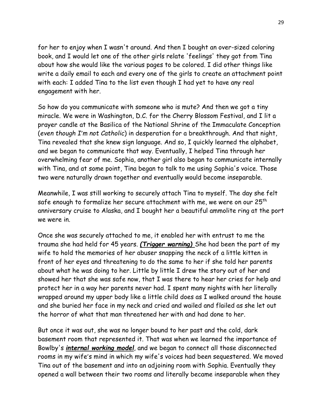for her to enjoy when I wasn't around. And then I bought an over-sized coloring book, and I would let one of the other girls relate 'feelings' they got from Tina about how she would like the various pages to be colored. I did other things like write a daily email to each and every one of the girls to create an attachment point with each: I added Tina to the list even though I had yet to have any real engagement with her.

So how do you communicate with someone who is mute? And then we got a tiny miracle. We were in Washington, D.C. for the Cherry Blossom Festival, and I lit a prayer candle at the Basilica of the National Shrine of the Immaculate Conception (*even though I'm not Catholic*) in desperation for a breakthrough. And that night, Tina revealed that she knew sign language. And so, I quickly learned the alphabet, and we began to communicate that way. Eventually, I helped Tina through her overwhelming fear of me. Sophia, another girl also began to communicate internally with Tina, and at some point, Tina began to talk to me using Sophia's voice. Those two were naturally drawn together and eventually would become inseparable.

Meanwhile, I was still working to securely attach Tina to myself. The day she felt safe enough to formalize her secure attachment with me, we were on our 25th anniversary cruise to Alaska, and I bought her a beautiful ammolite ring at the port we were in.

Once she was securely attached to me, it enabled her with entrust to me the trauma she had held for 45 years. *(Trigger warning)* She had been the part of my wife to hold the memories of her abuser snapping the neck of a little kitten in front of her eyes and threatening to do the same to her if she told her parents about what he was doing to her. Little by little I drew the story out of her and showed her that she was safe now, that I was there to hear her cries for help and protect her in a way her parents never had. I spent many nights with her literally wrapped around my upper body like a little child does as I walked around the house and she buried her face in my neck and cried and wailed and flailed as she let out the horror of what that man threatened her with and had done to her.

But once it was out, she was no longer bound to her past and the cold, dark basement room that represented it. That was when we learned the importance of Bowlby's *internal working model*, and we began to connect all those disconnected rooms in my wife's mind in which my wife's voices had been sequestered. We moved Tina out of the basement and into an adjoining room with Sophia. Eventually they opened a wall between their two rooms and literally became inseparable when they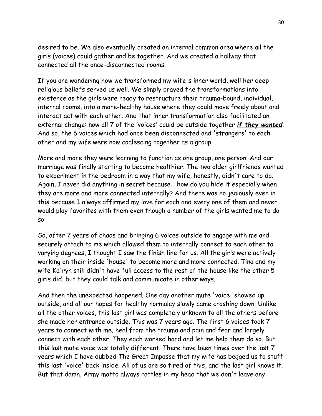desired to be. We also eventually created an internal common area where all the girls (voices) could gather and be together. And we created a hallway that connected all the once-disconnected rooms.

If you are wondering how we transformed my wife's inner world, well her deep religious beliefs served us well. We simply prayed the transformations into existence as the girls were ready to restructure their trauma-bound, individual, internal rooms, into a more-healthy house where they could move freely about and interact act with each other. And that inner transformation also facilitated an external change: now all 7 of the 'voices' could be outside together *if they wanted*. And so, the 6 voices which had once been disconnected and 'strangers' to each other and my wife were now coalescing together as a group.

More and more they were learning to function as one group, one person. And our marriage was finally starting to become healthier. The two older girlfriends wanted to experiment in the bedroom in a way that my wife, honestly, didn't care to do. Again, I never did anything in secret because… how do you hide it especially when they are more and more connected internally? And there was no jealously even in this because I always affirmed my love for each and every one of them and never would play favorites with them even though a number of the girls wanted me to do so!

So, after 7 years of chaos and bringing 6 voices outside to engage with me and securely attach to me which allowed them to internally connect to each other to varying degrees, I thought I saw the finish line for us. All the girls were actively working on their inside 'house' to become more and more connected. Tina and my wife Ka'ryn still didn't have full access to the rest of the house like the other 5 girls did, but they could talk and communicate in other ways.

And then the unexpected happened. One day another mute 'voice' showed up outside, and all our hopes for healthy normalcy slowly came crashing down. Unlike all the other voices, this last girl was completely unknown to all the others before she made her entrance outside. This was 7 years ago. The first 6 voices took 7 years to connect with me, heal from the trauma and pain and fear and largely connect with each other. They each worked hard and let me help them do so. But this last mute voice was totally different. There have been times over the last 7 years which I have dubbed The Great Impasse that my wife has begged us to stuff this last 'voice' back inside. All of us are so tired of this, and the last girl knows it. But that damn, Army motto always rattles in my head that we don't leave any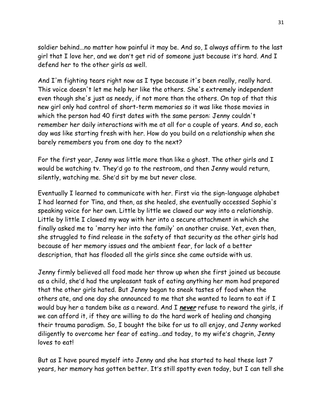soldier behind...no matter how painful it may be. And so, I always affirm to the last girl that I love her, and we don't get rid of someone just because it's hard. And I defend her to the other girls as well.

And I'm fighting tears right now as I type because it's been really, really hard. This voice doesn't let me help her like the others. She's extremely independent even though she's just as needy, if not more than the others. On top of that this new girl only had control of short-term memories so it was like those movies in which the person had 40 first dates with the same person: Jenny couldn't remember her daily interactions with me at all for a couple of years. And so, each day was like starting fresh with her. How do you build on a relationship when she barely remembers you from one day to the next?

For the first year, Jenny was little more than like a ghost. The other girls and I would be watching tv. They'd go to the restroom, and then Jenny would return, silently, watching me. She'd sit by me but never close.

Eventually I learned to communicate with her. First via the sign-language alphabet I had learned for Tina, and then, as she healed, she eventually accessed Sophia's speaking voice for her own. Little by little we clawed our way into a relationship. Little by little I clawed my way with her into a secure attachment in which she finally asked me to 'marry her into the family' on another cruise. Yet, even then, she struggled to find release in the safety of that security as the other girls had because of her memory issues and the ambient fear, for lack of a better description, that has flooded all the girls since she came outside with us.

Jenny firmly believed all food made her throw up when she first joined us because as a child, she'd had the unpleasant task of eating anything her mom had prepared that the other girls hated. But Jenny began to sneak tastes of food when the others ate, and one day she announced to me that she wanted to learn to eat if I would buy her a tandem bike as a reward. And I *never* refuse to reward the girls, if we can afford it, if they are willing to do the hard work of healing and changing their trauma paradigm. So, I bought the bike for us to all enjoy, and Jenny worked diligently to overcome her fear of eating…and today, to my wife's chagrin, Jenny loves to eat!

But as I have poured myself into Jenny and she has started to heal these last 7 years, her memory has gotten better. It's still spotty even today, but I can tell she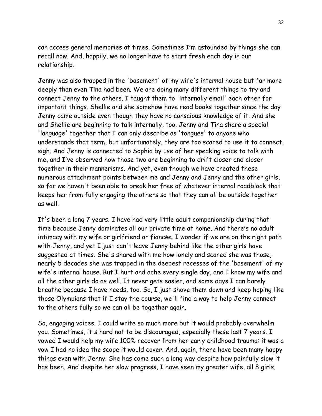can access general memories at times. Sometimes I'm astounded by things she can recall now. And, happily, we no longer have to start fresh each day in our relationship.

Jenny was also trapped in the 'basement' of my wife's internal house but far more deeply than even Tina had been. We are doing many different things to try and connect Jenny to the others. I taught them to 'internally email' each other for important things. Shellie and she somehow have read books together since the day Jenny came outside even though they have no conscious knowledge of it. And she and Shellie are beginning to talk internally, too. Jenny and Tina share a special 'language' together that I can only describe as 'tongues' to anyone who understands that term, but unfortunately, they are too scared to use it to connect, sigh. And Jenny is connected to Sophia by use of her speaking voice to talk with me, and I've observed how those two are beginning to drift closer and closer together in their mannerisms. And yet, even though we have created these numerous attachment points between me and Jenny and Jenny and the other girls, so far we haven't been able to break her free of whatever internal roadblock that keeps her from fully engaging the others so that they can all be outside together as well.

It's been a long 7 years. I have had very little adult companionship during that time because Jenny dominates all our private time at home. And there's no adult intimacy with my wife or girlfriend or fiancée. I wonder if we are on the right path with Jenny, and yet I just can't leave Jenny behind like the other girls have suggested at times. She's shared with me how lonely and scared she was those, nearly 5 decades she was trapped in the deepest recesses of the 'basement' of my wife's internal house. But I hurt and ache every single day, and I know my wife and all the other girls do as well. It never gets easier, and some days I can barely breathe because I have needs, too. So, I just shove them down and keep hoping like those Olympians that if I stay the course, we'll find a way to help Jenny connect to the others fully so we can all be together again.

So, engaging voices. I could write so much more but it would probably overwhelm you. Sometimes, it's hard not to be discouraged, especially these last 7 years. I vowed I would help my wife 100% recover from her early childhood trauma: it was a vow I had no idea the scope it would cover. And, again, there have been many happy things even with Jenny. She has come such a long way despite how painfully slow it has been. And despite her slow progress, I have seen my greater wife, all 8 girls,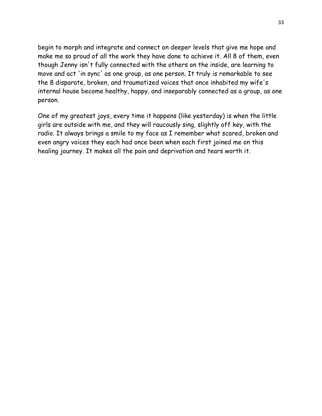begin to morph and integrate and connect on deeper levels that give me hope and make me so proud of all the work they have done to achieve it. All 8 of them, even though Jenny isn't fully connected with the others on the inside, are learning to move and act 'in sync' as one group, as one person. It truly is remarkable to see the 8 disparate, broken, and traumatized voices that once inhabited my wife's internal house become healthy, happy, and inseparably connected as a group, as one person.

One of my greatest joys, every time it happens (like yesterday) is when the little girls are outside with me, and they will raucously sing, slightly off key, with the radio. It always brings a smile to my face as I remember what scared, broken and even angry voices they each had once been when each first joined me on this healing journey. It makes all the pain and deprivation and tears worth it.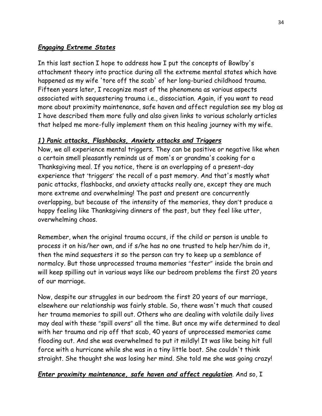# *Engaging Extreme States*

In this last section I hope to address how I put the concepts of Bowlby's attachment theory into practice during all the extreme mental states which have happened as my wife 'tore off the scab' of her long-buried childhood trauma. Fifteen years later, I recognize most of the phenomena as various aspects associated with sequestering trauma i.e., dissociation. Again, if you want to read more about proximity maintenance, safe haven and affect regulation see my blog as I have described them more fully and also given links to various scholarly articles that helped me more-fully implement them on this healing journey with my wife.

# *1) Panic attacks, Flashbacks, Anxiety attacks and Triggers*

Now, we all experience mental triggers. They can be positive or negative like when a certain smell pleasantly reminds us of mom's or grandma's cooking for a Thanksgiving meal. If you notice, there is an overlapping of a present-day experience that 'triggers' the recall of a past memory. And that's mostly what panic attacks, flashbacks, and anxiety attacks really are, except they are much more extreme and overwhelming! The past and present are concurrently overlapping, but because of the intensity of the memories, they don't produce a happy feeling like Thanksgiving dinners of the past, but they feel like utter, overwhelming chaos.

Remember, when the original trauma occurs, if the child or person is unable to process it on his/her own, and if s/he has no one trusted to help her/him do it, then the mind sequesters it so the person can try to keep up a semblance of normalcy. But those unprocessed trauma memories "fester" inside the brain and will keep spilling out in various ways like our bedroom problems the first 20 years of our marriage.

Now, despite our struggles in our bedroom the first 20 years of our marriage, elsewhere our relationship was fairly stable. So, there wasn't much that caused her trauma memories to spill out. Others who are dealing with volatile daily lives may deal with these "spill overs" all the time. But once my wife determined to deal with her trauma and rip off that scab, 40 years of unprocessed memories came flooding out. And she was overwhelmed to put it mildly! It was like being hit full force with a hurricane while she was in a tiny little boat. She couldn't think straight. She thought she was losing her mind. She told me she was going crazy!

# *Enter proximity maintenance, safe haven and affect regulation*. And so, I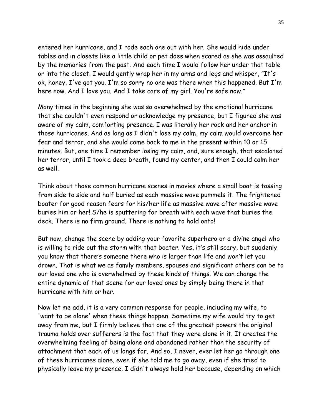entered her hurricane, and I rode each one out with her. She would hide under tables and in closets like a little child or pet does when scared as she was assaulted by the memories from the past. And each time I would follow her under that table or into the closet. I would gently wrap her in my arms and legs and whisper, "It's ok, honey. I've got you. I'm so sorry no one was there when this happened. But I'm here now. And I love you. And I take care of my girl. You're safe now."

Many times in the beginning she was so overwhelmed by the emotional hurricane that she couldn't even respond or acknowledge my presence, but I figured she was aware of my calm, comforting presence. I was literally her rock and her anchor in those hurricanes. And as long as I didn't lose my calm, my calm would overcome her fear and terror, and she would come back to me in the present within 10 or 15 minutes. But, one time I remember losing my calm, and, sure enough, that escalated her terror, until I took a deep breath, found my center, and then I could calm her as well.

Think about those common hurricane scenes in movies where a small boat is tossing from side to side and half buried as each massive wave pummels it. The frightened boater for good reason fears for his/her life as massive wave after massive wave buries him or her! S/he is sputtering for breath with each wave that buries the deck. There is no firm ground. There is nothing to hold onto!

But now, change the scene by adding your favorite superhero or a divine angel who is willing to ride out the storm with that boater. Yes, it's still scary, but suddenly you know that there's someone there who is larger than life and won't let you drown. That is what we as family members, spouses and significant others can be to our loved one who is overwhelmed by these kinds of things. We can change the entire dynamic of that scene for our loved ones by simply being there in that hurricane with him or her.

Now let me add, it is a very common response for people, including my wife, to 'want to be alone' when these things happen. Sometime my wife would try to get away from me, but I firmly believe that one of the greatest powers the original trauma holds over sufferers is the fact that they were alone in it. It creates the overwhelming feeling of being alone and abandoned rather than the security of attachment that each of us longs for. And so, I never, ever let her go through one of these hurricanes alone, even if she told me to go away, even if she tried to physically leave my presence. I didn't always hold her because, depending on which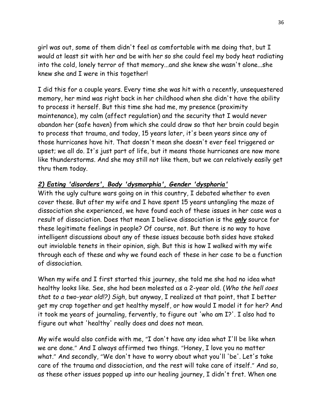girl was out, some of them didn't feel as comfortable with me doing that, but I would at least sit with her and be with her so she could feel my body heat radiating into the cold, lonely terror of that memory...and she knew she wasn't alone...she knew she and I were in this together!

I did this for a couple years. Every time she was hit with a recently, unsequestered memory, her mind was right back in her childhood when she didn't have the ability to process it herself. But this time she had me, my presence (proximity maintenance), my calm (affect regulation) and the security that I would never abandon her (safe haven) from which she could draw so that her brain could begin to process that trauma, and today, 15 years later, it's been years since any of those hurricanes have hit. That doesn't mean she doesn't ever feel triggered or upset; we all do. It's just part of life, but it means those hurricanes are now more like thunderstorms. And she may still not like them, but we can relatively easily get thru them today.

# *2) Eating 'disorders', Body 'dysmorphia', Gender 'dysphoria'*

With the ugly culture wars going on in this country, I debated whether to even cover these. But after my wife and I have spent 15 years untangling the maze of dissociation she experienced, we have found each of these issues in her case was a result of dissociation. Does that mean I believe dissociation is the *only* source for these legitimate feelings in people? Of course, not. But there is no way to have intelligent discussions about any of these issues because both sides have staked out inviolable tenets in their opinion, sigh. But this is how I walked with my wife through each of these and why we found each of these in her case to be a function of dissociation.

When my wife and I first started this journey, she told me she had no idea what healthy looks like. See, she had been molested as a 2-year old. (*Who the hell does that to a two-year old!?) Sigh*, but anyway, I realized at that point, that I better get my crap together and get healthy myself, or how would I model it for her? And it took me years of journaling, fervently, to figure out 'who am I?'. I also had to figure out what 'healthy' really does and does not mean.

My wife would also confide with me, "I don't have any idea what I'll be like when we are done." And I always affirmed two things. "Honey, I love you no matter what." And secondly, "We don't have to worry about what you'll 'be'. Let's take care of the trauma and dissociation, and the rest will take care of itself." And so, as these other issues popped up into our healing journey, I didn't fret. When one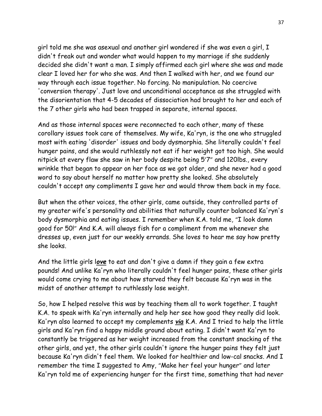girl told me she was asexual and another girl wondered if she was even a girl, I didn't freak out and wonder what would happen to my marriage if she suddenly decided she didn't want a man. I simply affirmed each girl where she was and made clear I loved her for who she was. And then I walked with her, and we found our way through each issue together. No forcing. No manipulation. No coercive 'conversion therapy'. Just love and unconditional acceptance as she struggled with the disorientation that 4-5 decades of dissociation had brought to her and each of the 7 other girls who had been trapped in separate, internal spaces.

And as those internal spaces were reconnected to each other, many of these corollary issues took care of themselves. My wife, Ka'ryn, is the one who struggled most with eating 'disorder' issues and body dysmorphia. She literally couldn't feel hunger pains, and she would ruthlessly not eat if her weight got too high. She would nitpick at every flaw she saw in her body despite being 5'7" and 120lbs., every wrinkle that began to appear on her face as we got older, and she never had a good word to say about herself no matter how pretty she looked. She absolutely couldn't accept any compliments I gave her and would throw them back in my face.

But when the other voices, the other girls, came outside, they controlled parts of my greater wife's personality and abilities that naturally counter balanced Ka'ryn's body dysmorphia and eating issues. I remember when K.A. told me, "I look damn good for 50!" And K.A. will always fish for a compliment from me whenever she dresses up, even just for our weekly errands. She loves to hear me say how pretty she looks.

And the little girls l*ove* to eat and don't give a damn if they gain a few extra pounds! And unlike Ka'ryn who literally couldn't feel hunger pains, these other girls would come crying to me about how starved they felt because Ka'ryn was in the midst of another attempt to ruthlessly lose weight.

So, how I helped resolve this was by teaching them all to work together. I taught K.A. to speak with Ka'ryn internally and help her see how good they really did look. Ka'ryn also learned to accept my complements *via* K.A. And I tried to help the little girls and Ka'ryn find a happy middle ground about eating. I didn't want Ka'ryn to constantly be triggered as her weight increased from the constant snacking of the other girls, and yet, the other girls couldn't ignore the hunger pains they felt just because Ka'ryn didn't feel them. We looked for healthier and low-cal snacks. And I remember the time I suggested to Amy, "Make her feel your hunger" and later Ka'ryn told me of experiencing hunger for the first time, something that had never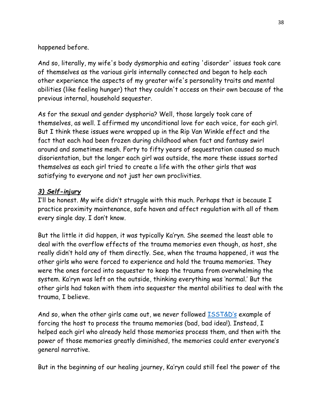happened before.

And so, literally, my wife's body dysmorphia and eating 'disorder' issues took care of themselves as the various girls internally connected and began to help each other experience the aspects of my greater wife's personality traits and mental abilities (like feeling hunger) that they couldn't access on their own because of the previous internal, household sequester.

As for the sexual and gender dysphoria? Well, those largely took care of themselves, as well. I affirmed my unconditional love for each voice, for each girl. But I think these issues were wrapped up in the Rip Van Winkle effect and the fact that each had been frozen during childhood when fact and fantasy swirl around and sometimes mesh. Forty to fifty years of sequestration caused so much disorientation, but the longer each girl was outside, the more these issues sorted themselves as each girl tried to create a life with the other girls that was satisfying to everyone and not just her own proclivities.

# *3) Self-injury*

I'll be honest. My wife didn't struggle with this much. Perhaps that is because I practice proximity maintenance, safe haven and affect regulation with all of them every single day. I don't know.

But the little it did happen, it was typically Ka'ryn. She seemed the least able to deal with the overflow effects of the trauma memories even though, as host, she really didn't hold any of them directly. See, when the trauma happened, it was the other girls who were forced to experience and hold the trauma memories. They were the ones forced into sequester to keep the trauma from overwhelming the system. Ka'ryn was left on the outside, thinking everything was 'normal.' But the other girls had taken with them into sequester the mental abilities to deal with the trauma, I believe.

And so, when the other girls came out, we never followed **[ISST&D's](https://www.isst-d.org/)** example of forcing the host to process the trauma memories (bad, bad idea!). Instead, I helped each girl who already held those memories process them, and then with the power of those memories greatly diminished, the memories could enter everyone's general narrative.

But in the beginning of our healing journey, Ka'ryn could still feel the power of the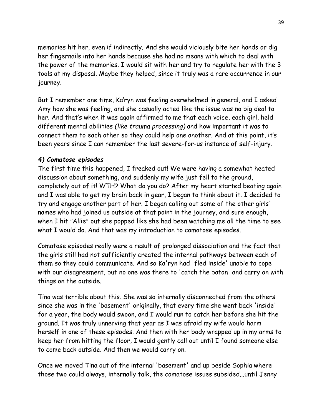memories hit her, even if indirectly. And she would viciously bite her hands or dig her fingernails into her hands because she had no means with which to deal with the power of the memories. I would sit with her and try to regulate her with the 3 tools at my disposal. Maybe they helped, since it truly was a rare occurrence in our journey.

But I remember one time, Ka'ryn was feeling overwhelmed in general, and I asked Amy how she was feeling, and she casually acted like the issue was no big deal to her. And that's when it was again affirmed to me that each voice, each girl, held different mental abilities *(like trauma processing)* and how important it was to connect them to each other so they could help one another. And at this point, it's been years since I can remember the last severe-for-us instance of self-injury.

# *4) Comatose episodes*

The first time this happened, I freaked out! We were having a somewhat heated discussion about something, and suddenly my wife just fell to the ground, completely out of it! WTH? What do you do? After my heart started beating again and I was able to get my brain back in gear, I began to think about it. I decided to try and engage another part of her. I began calling out some of the other girls' names who had joined us outside at that point in the journey, and sure enough, when I hit "Allie" out she popped like she had been watching me all the time to see what I would do. And that was my introduction to comatose episodes.

Comatose episodes really were a result of prolonged dissociation and the fact that the girls still had not sufficiently created the internal pathways between each of them so they could communicate. And so Ka'ryn had 'fled inside' unable to cope with our disagreement, but no one was there to 'catch the baton' and carry on with things on the outside.

Tina was terrible about this. She was so internally disconnected from the others since she was in the 'basement' originally, that every time she went back 'inside' for a year, the body would swoon, and I would run to catch her before she hit the ground. It was truly unnerving that year as I was afraid my wife would harm herself in one of these episodes. And then with her body wrapped up in my arms to keep her from hitting the floor, I would gently call out until I found someone else to come back outside. And then we would carry on.

Once we moved Tina out of the internal 'basement' and up beside Sophia where those two could always, internally talk, the comatose issues subsided...until Jenny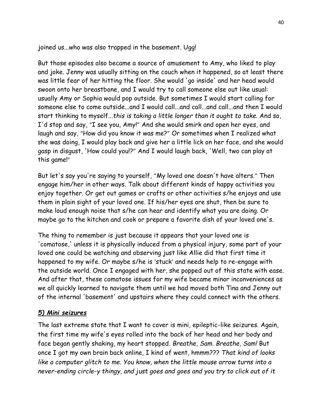joined us...who was also trapped in the basement. Ugg!

But those episodes also became a source of amusement to Amy, who liked to play and joke. Jenny was usually sitting on the couch when it happened, so at least there was little fear of her hitting the floor. She would 'go inside' and her head would swoon onto her breastbone, and I would try to call someone else out like usual: usually Amy or Sophia would pop outside. But sometimes I would start calling for someone else to come outside...and I would call...and call...and call...and then I would start thinking to myself...*this is taking a little longer than it ought to take*. And so, I'd stop and say, "I see you, Amy!" And she would smirk and open her eyes, and laugh and say, "How did you know it was me?" Or sometimes when I realized what she was doing, I would play back and give her a little lick on her face, and she would gasp in disgust, 'How could you!?" And I would laugh back, 'Well, two can play at this game!"

But let's say you're saying to yourself, "My loved one doesn't have alters." Then engage him/her in other ways. Talk about different kinds of happy activities you enjoy together. Or get out games or crafts or other activities s/he enjoys and use them in plain sight of your loved one. If his/her eyes are shut, then be sure to make loud enough noise that s/he can hear and identify what you are doing. Or maybe go to the kitchen and cook or prepare a favorite dish of your loved one's.

The thing to remember is just because it appears that your loved one is 'comatose,' unless it is physically induced from a physical injury, some part of your loved one could be watching and observing just like Allie did that first time it happened to my wife. Or maybe s/he is 'stuck' and needs help to re-engage with the outside world. Once I engaged with her, she popped out of this state with ease. And after that, these comatose issues for my wife became minor inconveniences as we all quickly learned to navigate them until we had moved both Tina and Jenny out of the internal 'basement' and upstairs where they could connect with the others.

# *5) Mini seizures*

The last extreme state that I want to cover is mini, epileptic-like seizures. Again, the first time my wife's eyes rolled into the back of her head and her body and face began gently shaking, my heart stopped. *Breathe, Sam. Breathe, Sam!* But once I got my own brain back online, I kind of went, hmmm??? *That kind of looks like a computer glitch to me. You know, when the little mouse arrow turns into a never-ending circle-y thingy, and just goes and goes and you try to click out of it*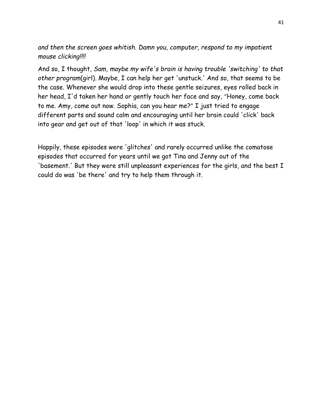*and then the screen goes whitish. Damn you, computer, respond to my impatient mouse clicking!!!!*

And so, I thought, *Sam, maybe my wife's brain is having trouble 'switching' to that other program*(girl). Maybe, I can help her get 'unstuck.' And so, that seems to be the case. Whenever she would drop into these gentle seizures, eyes rolled back in her head, I'd taken her hand or gently touch her face and say, "Honey, come back to me. Amy, come out now. Sophia, can you hear me?" I just tried to engage different parts and sound calm and encouraging until her brain could 'click' back into gear and get out of that 'loop' in which it was stuck.

Happily, these episodes were 'glitches' and rarely occurred unlike the comatose episodes that occurred for years until we got Tina and Jenny out of the 'basement.' But they were still unpleasant experiences for the girls, and the best I could do was 'be there' and try to help them through it.